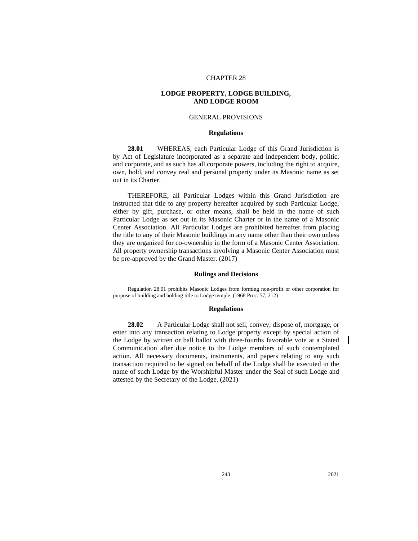# CHAPTER 28

# **LODGE PROPERTY, LODGE BUILDING, AND LODGE ROOM**

## GENERAL PROVISIONS

## **Regulations**

**28.01** WHEREAS, each Particular Lodge of this Grand Jurisdiction is by Act of Legislature incorporated as a separate and independent body, politic, and corporate, and as such has all corporate powers, including the right to acquire, own, hold, and convey real and personal property under its Masonic name as set out in its Charter.

THEREFORE, all Particular Lodges within this Grand Jurisdiction are instructed that title to any property hereafter acquired by such Particular Lodge, either by gift, purchase, or other means, shall be held in the name of such Particular Lodge as set out in its Masonic Charter or in the name of a Masonic Center Association. All Particular Lodges are prohibited hereafter from placing the title to any of their Masonic buildings in any name other than their own unless they are organized for co-ownership in the form of a Masonic Center Association. All property ownership transactions involving a Masonic Center Association must be pre-approved by the Grand Master. (2017)

# **Rulings and Decisions**

Regulation 28.01 prohibits Masonic Lodges from forming non-profit or other corporation for purpose of building and holding title to Lodge temple. (1968 Proc. 57, 212)

## **Regulations**

**28.02** A Particular Lodge shall not sell, convey, dispose of, mortgage, or enter into any transaction relating to Lodge property except by special action of the Lodge by written or ball ballot with three-fourths favorable vote at a Stated Communication after due notice to the Lodge members of such contemplated action. All necessary documents, instruments, and papers relating to any such transaction required to be signed on behalf of the Lodge shall be executed in the name of such Lodge by the Worshipful Master under the Seal of such Lodge and attested by the Secretary of the Lodge. (2021)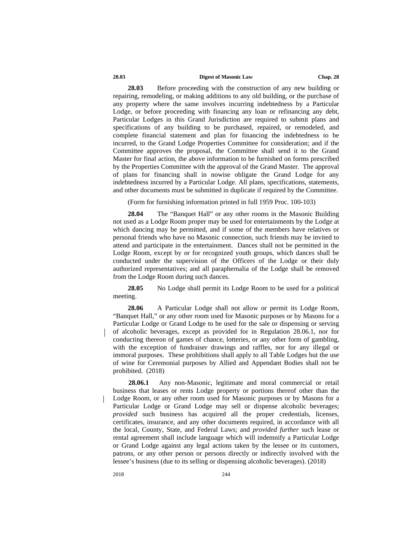### **28.03 Digest of Masonic Law Chap. 28**

**28.03** Before proceeding with the construction of any new building or repairing, remodeling, or making additions to any old building, or the purchase of any property where the same involves incurring indebtedness by a Particular Lodge, or before proceeding with financing any loan or refinancing any debt, Particular Lodges in this Grand Jurisdiction are required to submit plans and specifications of any building to be purchased, repaired, or remodeled, and complete financial statement and plan for financing the indebtedness to be incurred, to the Grand Lodge Properties Committee for consideration; and if the Committee approves the proposal, the Committee shall send it to the Grand Master for final action, the above information to be furnished on forms prescribed by the Properties Committee with the approval of the Grand Master. The approval of plans for financing shall in nowise obligate the Grand Lodge for any indebtedness incurred by a Particular Lodge. All plans, specifications, statements, and other documents must be submitted in duplicate if required by the Committee.

(Form for furnishing information printed in full 1959 Proc. 100-103)

**28.04** The "Banquet Hall" or any other rooms in the Masonic Building not used as a Lodge Room proper may be used for entertainments by the Lodge at which dancing may be permitted, and if some of the members have relatives or personal friends who have no Masonic connection, such friends may be invited to attend and participate in the entertainment. Dances shall not be permitted in the Lodge Room, except by or for recognized youth groups, which dances shall be conducted under the supervision of the Officers of the Lodge or their duly authorized representatives; and all paraphernalia of the Lodge shall be removed from the Lodge Room during such dances.

**28.05** No Lodge shall permit its Lodge Room to be used for a political meeting.

**28.06** A Particular Lodge shall not allow or permit its Lodge Room, "Banquet Hall," or any other room used for Masonic purposes or by Masons for a Particular Lodge or Grand Lodge to be used for the sale or dispensing or serving of alcoholic beverages, except as provided for in Regulation 28.06.1, nor for conducting thereon of games of chance, lotteries, or any other form of gambling, with the exception of fundraiser drawings and raffles, nor for any illegal or immoral purposes. These prohibitions shall apply to all Table Lodges but the use of wine for Ceremonial purposes by Allied and Appendant Bodies shall not be prohibited. (2018)

**28.06.1** Any non-Masonic, legitimate and moral commercial or retail business that leases or rents Lodge property or portions thereof other than the Lodge Room, or any other room used for Masonic purposes or by Masons for a Particular Lodge or Grand Lodge may sell or dispense alcoholic beverages; *provided* such business has acquired all the proper credentials, licenses, certificates, insurance, and any other documents required, in accordance with all the local, County, State, and Federal Laws; and *provided further* such lease or rental agreement shall include language which will indemnify a Particular Lodge or Grand Lodge against any legal actions taken by the lessee or its customers, patrons, or any other person or persons directly or indirectly involved with the lessee's business (due to its selling or dispensing alcoholic beverages). (2018)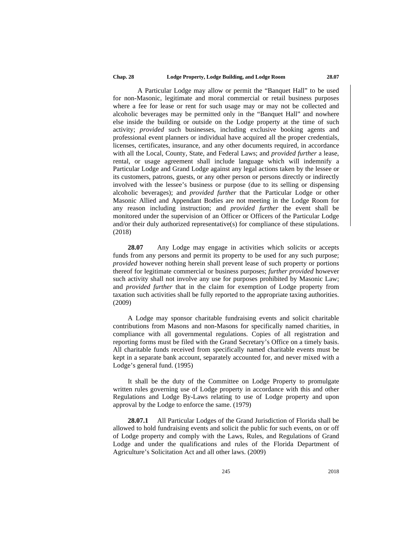### **Chap. 28 Lodge Property, Lodge Building, and Lodge Room 28.07**

A Particular Lodge may allow or permit the "Banquet Hall" to be used for non-Masonic, legitimate and moral commercial or retail business purposes where a fee for lease or rent for such usage may or may not be collected and alcoholic beverages may be permitted only in the "Banquet Hall" and nowhere else inside the building or outside on the Lodge property at the time of such activity; *provided* such businesses, including exclusive booking agents and professional event planners or individual have acquired all the proper credentials, licenses, certificates, insurance, and any other documents required, in accordance with all the Local, County, State, and Federal Laws; and *provided further* a lease, rental, or usage agreement shall include language which will indemnify a Particular Lodge and Grand Lodge against any legal actions taken by the lessee or its customers, patrons, guests, or any other person or persons directly or indirectly involved with the lessee's business or purpose (due to its selling or dispensing alcoholic beverages); and *provided further* that the Particular Lodge or other Masonic Allied and Appendant Bodies are not meeting in the Lodge Room for any reason including instruction; and *provided further* the event shall be monitored under the supervision of an Officer or Officers of the Particular Lodge and/or their duly authorized representative(s) for compliance of these stipulations. (2018)

**28.07** Any Lodge may engage in activities which solicits or accepts funds from any persons and permit its property to be used for any such purpose; *provided* however nothing herein shall prevent lease of such property or portions thereof for legitimate commercial or business purposes; *further provided* however such activity shall not involve any use for purposes prohibited by Masonic Law; and *provided further* that in the claim for exemption of Lodge property from taxation such activities shall be fully reported to the appropriate taxing authorities. (2009)

A Lodge may sponsor charitable fundraising events and solicit charitable contributions from Masons and non-Masons for specifically named charities, in compliance with all governmental regulations. Copies of all registration and reporting forms must be filed with the Grand Secretary's Office on a timely basis. All charitable funds received from specifically named charitable events must be kept in a separate bank account, separately accounted for, and never mixed with a Lodge's general fund. (1995)

It shall be the duty of the Committee on Lodge Property to promulgate written rules governing use of Lodge property in accordance with this and other Regulations and Lodge By-Laws relating to use of Lodge property and upon approval by the Lodge to enforce the same. (1979)

**28.07.1** All Particular Lodges of the Grand Jurisdiction of Florida shall be allowed to hold fundraising events and solicit the public for such events, on or off of Lodge property and comply with the Laws, Rules, and Regulations of Grand Lodge and under the qualifications and rules of the Florida Department of Agriculture's Solicitation Act and all other laws. (2009)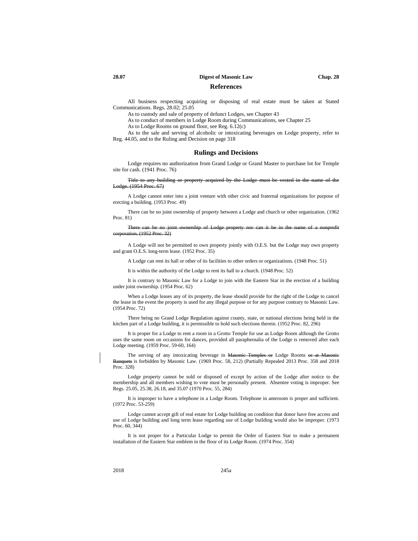### **28.07 Digest of Masonic Law Chap. 28**

### **References**

All business respecting acquiring or disposing of real estate must be taken at Stated Communications. Regs. 28.02; 25.05

As to custody and sale of property of defunct Lodges, see Chapter 43

As to conduct of members in Lodge Room during Communications, see Chapter 25

As to Lodge Rooms on ground floor, see Reg. 6.12(c)

As to the sale and serving of alcoholic or intoxicating beverages on Lodge property, refer to Reg. 44.05, and to the Ruling and Decision on page 318

### **Rulings and Decisions**

Lodge requires no authorization from Grand Lodge or Grand Master to purchase lot for Temple site for cash. (1941 Proc. 76)

Title to any building or property acquired by the Lodge must be vested in the name of the Lodge. (1954 Proc. 67)

A Lodge cannot enter into a joint venture with other civic and fraternal organizations for purpose of erecting a building. (1953 Proc. 49)

There can be no joint ownership of property between a Lodge and church or other organization. (1962 Proc. 81)

There can be no joint ownership of Lodge property nor can it be in the name of a nonprofit ration. (1952 Proc. 32)

A Lodge will not be permitted to own property jointly with O.E.S. but the Lodge may own property and grant O.E.S. long-term lease. (1952 Proc. 35)

A Lodge can rent its hall or other of its facilities to other orders or organizations. (1948 Proc. 51)

It is within the authority of the Lodge to rent its hall to a church. (1948 Proc. 52)

It is contrary to Masonic Law for a Lodge to join with the Eastern Star in the erection of a building under joint ownership. (1954 Proc. 62)

When a Lodge leases any of its property, the lease should provide for the right of the Lodge to cancel the lease in the event the property is used for any illegal purpose or for any purpose contrary to Masonic Law. (1954 Proc. 72)

There being no Grand Lodge Regulation against county, state, or national elections being held in the kitchen part of a Lodge building, it is permissible to hold such elections therein. (1952 Proc. 82, 296)

It is proper for a Lodge to rent a room in a Grotto Temple for use as Lodge Room although the Grotto uses the same room on occasions for dances, provided all paraphernalia of the Lodge is removed after each Lodge meeting. (1959 Proc. 59-60, 164)

The serving of any intoxicating beverage in Masonic Temples or Lodge Rooms or at Masonic Banquets is forbidden by Masonic Law. (1969 Proc. 58, 212) (Partially Repealed 2013 Proc. 358 and 2018 Proc. 328)

Lodge property cannot be sold or disposed of except by action of the Lodge after notice to the membership and all members wishing to vote must be personally present. Absentee voting is improper. See Regs. 25.05, 25.38, 26.18, and 35.07 (1970 Proc. 55, 284)

It is improper to have a telephone in a Lodge Room. Telephone in anteroom is proper and sufficient. (1972 Proc. 53-259)

Lodge cannot accept gift of real estate for Lodge building on condition that donor have free access and use of Lodge building and long term lease regarding use of Lodge building would also be improper. (1973 Proc. 60, 344)

It is not proper for a Particular Lodge to permit the Order of Eastern Star to make a permanent installation of the Eastern Star emblem in the floor of its Lodge Room. (1974 Proc. 354)